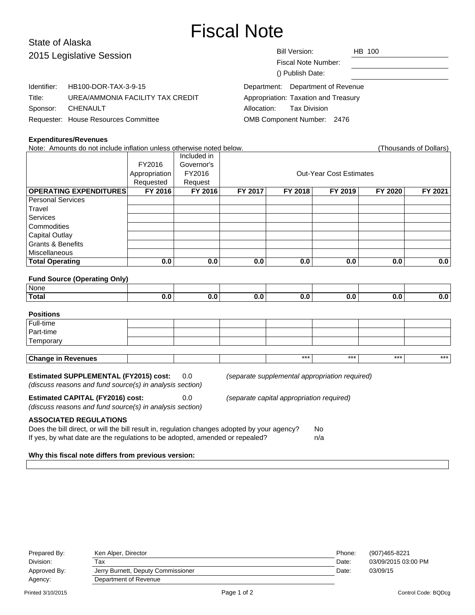# Fiscal Note

# State of Alaska 2015 Legislative Session

| 2015 Legislative Session |                                      | Bill Version:<br>HB 100              |  |  |  |
|--------------------------|--------------------------------------|--------------------------------------|--|--|--|
|                          |                                      | Fiscal Note Number:                  |  |  |  |
|                          | () Publish Date:                     |                                      |  |  |  |
| Identifier:              | HB100-DOR-TAX-3-9-15                 | Department: Department of Revenue    |  |  |  |
| Title:                   | UREA/AMMONIA FACILITY TAX CREDIT     | Appropriation: Taxation and Treasury |  |  |  |
| Sponsor:                 | CHENAULT                             | Tax Division<br>Allocation:          |  |  |  |
|                          | Requester: House Resources Committee | OMB Component Number: 2476           |  |  |  |

#### **Expenditures/Revenues**

Note: Amounts do not include inflation unless otherwise noted below. (Thousands of Dollars) Included in FY2016 Governor's Appropriation FY2016 | Research Cut-Year Cost Estimates Requested | Request **OPERATING EXPENDITURES FY 2016 FY 2016 FY 2017 FY 2018 FY 2019 FY 2020 FY 2021** Personal Services **Travel** Services **Commodities** Capital Outlay Grants & Benefits Miscellaneous **Total Operating 0.0 0.0 0.0 0.0 0.0 0.0 0.0 Fund Source (Operating Only)** None **Total 0.0 0.0 0.0 0.0 0.0 0.0 0.0 Positions** Full-time Part-time **Temporary Change in Revenues** \*\*\* \*\*\* \*\*\* \*\*\*

# **Estimated SUPPLEMENTAL (FY2015) cost:** 0.0 (separate supplemental appropriation required)

(discuss reasons and fund source(s) in analysis section)

**Estimated CAPITAL (FY2016) cost:** 0.0 (separate capital appropriation required)

(discuss reasons and fund source(s) in analysis section)

# **ASSOCIATED REGULATIONS**

| Does the bill direct, or will the bill result in, regulation changes adopted by your agency? | No  |
|----------------------------------------------------------------------------------------------|-----|
| If yes, by what date are the regulations to be adopted, amended or repealed?                 | n/a |

#### **Why this fiscal note differs from previous version:**

| Prepared By:      | Ken Alper, Director                | Phone: | (907)465-8221       |
|-------------------|------------------------------------|--------|---------------------|
| Division:         | Тах                                | Date:  | 03/09/2015 03:00 PM |
| Approved By:      | Jerry Burnett, Deputy Commissioner | Date:  | 03/09/15            |
| Agency:           | Department of Revenue              |        |                     |
| Printed 3/10/2015 | Page 1 of 2                        |        | Control Code: BQDcq |